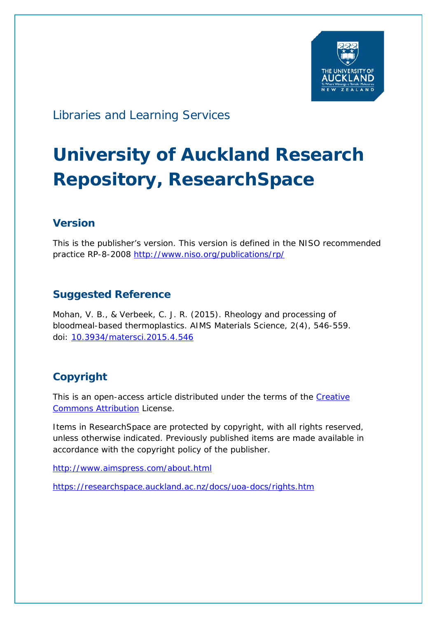

# Libraries and Learning Services

# **University of Auckland Research Repository, ResearchSpace**

## **Version**

This is the publisher's version. This version is defined in the NISO recommended practice RP-8-2008<http://www.niso.org/publications/rp/>

## **Suggested Reference**

Mohan, V. B., & Verbeek, C. J. R. (2015). Rheology and processing of bloodmeal-based thermoplastics. *AIMS Materials Science, 2*(4), 546-559. doi: [10.3934/matersci.2015.4.546](http://dx.doi.org/10.3934/matersci.2015.4.546)

## **Copyright**

This is an open-access article distributed under the terms of the Creative [Commons Attribution](http://creativecommons.org/licenses/by/4.0/) License.

Items in ResearchSpace are protected by copyright, with all rights reserved, unless otherwise indicated. Previously published items are made available in accordance with the copyright policy of the publisher.

<http://www.aimspress.com/about.html>

<https://researchspace.auckland.ac.nz/docs/uoa-docs/rights.htm>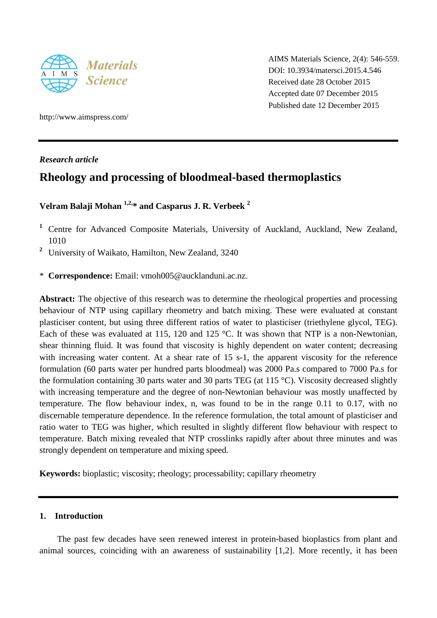

AIMS Materials Science, 2(4): 546-559. DOI: 10.3934/matersci.2015.4.546 Received date 28 October 2015 Accepted date 07 December 2015 Published date 12 December 2015

http://www.aimspress.com/

*Research article*

## **Rheology and processing of bloodmeal-based thermoplastics**

## **Velram Balaji Mohan 1,2, \* and Casparus J. R. Verbeek <sup>2</sup>**

- **<sup>1</sup>** Centre for Advanced Composite Materials, University of Auckland, Auckland, New Zealand, 1010
- **<sup>2</sup>** University of Waikato, Hamilton, New Zealand, 3240
- \* **Correspondence:** Email: vmoh005@aucklanduni.ac.nz.

**Abstract:** The objective of this research was to determine the rheological properties and processing behaviour of NTP using capillary rheometry and batch mixing. These were evaluated at constant plasticiser content, but using three different ratios of water to plasticiser (triethylene glycol, TEG). Each of these was evaluated at 115, 120 and 125 °C. It was shown that NTP is a non-Newtonian, shear thinning fluid. It was found that viscosity is highly dependent on water content; decreasing with increasing water content. At a shear rate of 15 s-1, the apparent viscosity for the reference formulation (60 parts water per hundred parts bloodmeal) was 2000 Pa.s compared to 7000 Pa.s for the formulation containing 30 parts water and 30 parts TEG (at 115 °C). Viscosity decreased slightly with increasing temperature and the degree of non-Newtonian behaviour was mostly unaffected by temperature. The flow behaviour index, n, was found to be in the range 0.11 to 0.17, with no discernable temperature dependence. In the reference formulation, the total amount of plasticiser and ratio water to TEG was higher, which resulted in slightly different flow behaviour with respect to temperature. Batch mixing revealed that NTP crosslinks rapidly after about three minutes and was strongly dependent on temperature and mixing speed.

**Keywords:** bioplastic; viscosity; rheology; processability; capillary rheometry

#### **1. Introduction**

The past few decades have seen renewed interest in protein-based bioplastics from plant and animal sources, coinciding with an awareness of sustainability [1,2]. More recently, it has been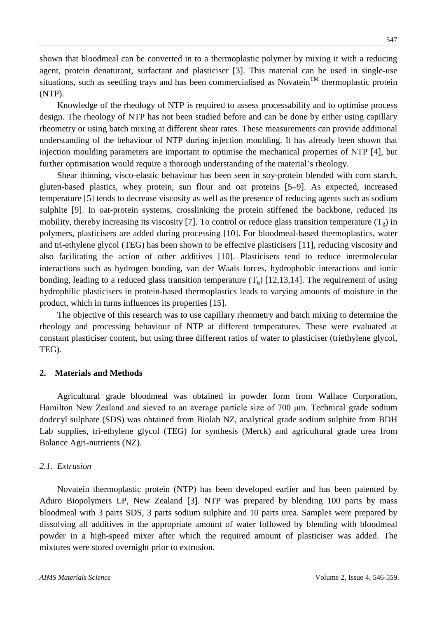shown that bloodmeal can be converted in to a thermoplastic polymer by mixing it with a reducing agent, protein denaturant, surfactant and plasticiser [3]. This material can be used in single-use situations, such as seedling trays and has been commercialised as Novatein<sup>TM</sup> thermoplastic protein (NTP).

Knowledge of the rheology of NTP is required to assess processability and to optimise process design. The rheology of NTP has not been studied before and can be done by either using capillary rheometry or using batch mixing at different shear rates. These measurements can provide additional understanding of the behaviour of NTP during injection moulding. It has already been shown that injection moulding parameters are important to optimise the mechanical properties of NTP [4], but further optimisation would require a thorough understanding of the material's rheology.

Shear thinning, visco-elastic behaviour has been seen in soy-protein blended with corn starch, gluten-based plastics, whey protein, sun flour and oat proteins [5–9]. As expected, increased temperature [5] tends to decrease viscosity as well as the presence of reducing agents such as sodium sulphite [9]. In oat-protein systems, crosslinking the protein stiffened the backbone, reduced its mobility, thereby increasing its viscosity [7]. To control or reduce glass transition temperature  $(T<sub>g</sub>)$  in polymers, plasticisers are added during processing [10]. For bloodmeal-based thermoplastics, water and tri-ethylene glycol (TEG) has been shown to be effective plasticisers [11], reducing viscosity and also facilitating the action of other additives [10]. Plasticisers tend to reduce intermolecular interactions such as hydrogen bonding, van der Waals forces, hydrophobic interactions and ionic bonding, leading to a reduced glass transition temperature  $(T<sub>g</sub>)$  [12,13,14]. The requirement of using hydrophilic plasticisers in protein-based thermoplastics leads to varying amounts of moisture in the product, which in turns influences its properties [15].

The objective of this research was to use capillary rheometry and batch mixing to determine the rheology and processing behaviour of NTP at different temperatures. These were evaluated at constant plasticiser content, but using three different ratios of water to plasticiser (triethylene glycol, TEG).

#### **2. Materials and Methods**

Agricultural grade bloodmeal was obtained in powder form from Wallace Corporation, Hamilton New Zealand and sieved to an average particle size of 700 μm. Technical grade sodium dodecyl sulphate (SDS) was obtained from Biolab NZ, analytical grade sodium sulphite from BDH Lab supplies, tri-ethylene glycol (TEG) for synthesis (Merck) and agricultural grade urea from Balance Agri-nutrients (NZ).

#### *2.1. Extrusion*

Novatein thermoplastic protein (NTP) has been developed earlier and has been patented by Aduro Biopolymers LP, New Zealand [3]. NTP was prepared by blending 100 parts by mass bloodmeal with 3 parts SDS, 3 parts sodium sulphite and 10 parts urea. Samples were prepared by dissolving all additives in the appropriate amount of water followed by blending with bloodmeal powder in a high-speed mixer after which the required amount of plasticiser was added. The mixtures were stored overnight prior to extrusion.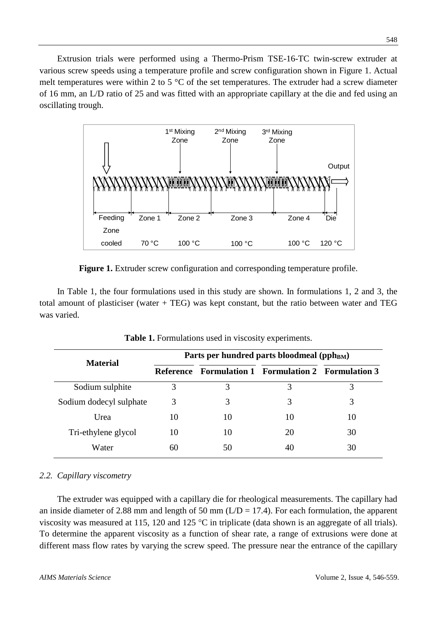Extrusion trials were performed using a Thermo-Prism TSE-16-TC twin-screw extruder at various screw speeds using a temperature profile and screw configuration shown in Figure 1. Actual melt temperatures were within 2 to 5  $^{\circ}$ C of the set temperatures. The extruder had a screw diameter of 16 mm, an L/D ratio of 25 and was fitted with an appropriate capillary at the die and fed using an oscillating trough.



**Figure 1.** Extruder screw configuration and corresponding temperature profile.

In Table 1, the four formulations used in this study are shown. In formulations 1, 2 and 3, the total amount of plasticiser (water + TEG) was kept constant, but the ratio between water and TEG was varied.

| <b>Material</b>         | Parts per hundred parts bloodmeal (pph <sub>BM</sub> ) |    |                                                  |    |  |  |
|-------------------------|--------------------------------------------------------|----|--------------------------------------------------|----|--|--|
|                         | Reference                                              |    | <b>Formulation 1</b> Formulation 2 Formulation 3 |    |  |  |
| Sodium sulphite         | 3                                                      | 3  | 3                                                | 3  |  |  |
| Sodium dodecyl sulphate | 3                                                      | 3  | 3                                                | 3  |  |  |
| Urea                    | 10                                                     | 10 | 10                                               | 10 |  |  |
| Tri-ethylene glycol     | 10                                                     | 10 | 20                                               | 30 |  |  |
| Water                   | 60                                                     | 50 | 40                                               | 30 |  |  |

**Table 1.** Formulations used in viscosity experiments.

### *2.2. Capillary viscometry*

The extruder was equipped with a capillary die for rheological measurements. The capillary had an inside diameter of 2.88 mm and length of 50 mm ( $L/D = 17.4$ ). For each formulation, the apparent viscosity was measured at 115, 120 and 125 °C in triplicate (data shown is an aggregate of all trials). To determine the apparent viscosity as a function of shear rate, a range of extrusions were done at different mass flow rates by varying the screw speed. The pressure near the entrance of the capillary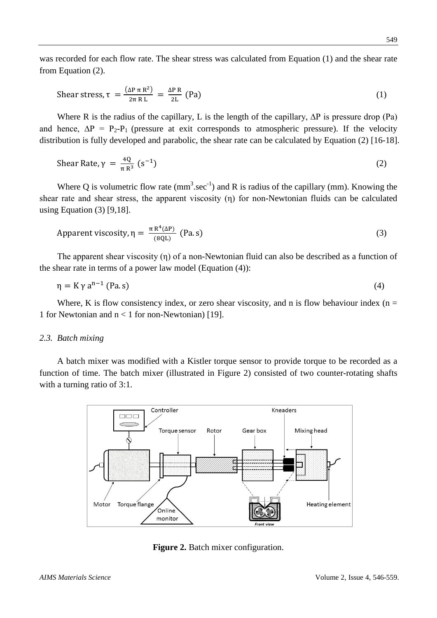was recorded for each flow rate. The shear stress was calculated from Equation (1) and the shear rate from Equation (2).

$$
\text{Shear stress, } \tau = \frac{(\Delta P \, \pi \, R^2)}{2\pi \, R \, L} = \frac{\Delta P \, R}{2L} \text{ (Pa)} \tag{1}
$$

Where R is the radius of the capillary, L is the length of the capillary, ∆P is pressure drop (Pa) and hence,  $\Delta P = P_2 - P_1$  (pressure at exit corresponds to atmospheric pressure). If the velocity distribution is fully developed and parabolic, the shear rate can be calculated by Equation (2) [16-18].

$$
\text{Shear Rate}, \gamma = \frac{4Q}{\pi R^3} \left( \text{s}^{-1} \right) \tag{2}
$$

Where Q is volumetric flow rate  $(mm^3 \text{.sec}^{-1})$  and R is radius of the capillary (mm). Knowing the shear rate and shear stress, the apparent viscosity (η) for non-Newtonian fluids can be calculated using Equation (3) [9,18].

$$
Apparent viscosity, \eta = \frac{\pi R^4(\Delta P)}{(8QL)} \text{ (Pa.s)}
$$
\n(3)

The apparent shear viscosity (η) of a non-Newtonian fluid can also be described as a function of the shear rate in terms of a power law model (Equation (4)):

$$
\eta = K \gamma a^{n-1} \text{ (Pa.s)}
$$
 (4)

Where, K is flow consistency index, or zero shear viscosity, and n is flow behaviour index ( $n =$ 1 for Newtonian and n < 1 for non-Newtonian) [19].

#### *2.3. Batch mixing*

A batch mixer was modified with a Kistler torque sensor to provide torque to be recorded as a function of time. The batch mixer (illustrated in Figure 2) consisted of two counter-rotating shafts with a turning ratio of 3:1.



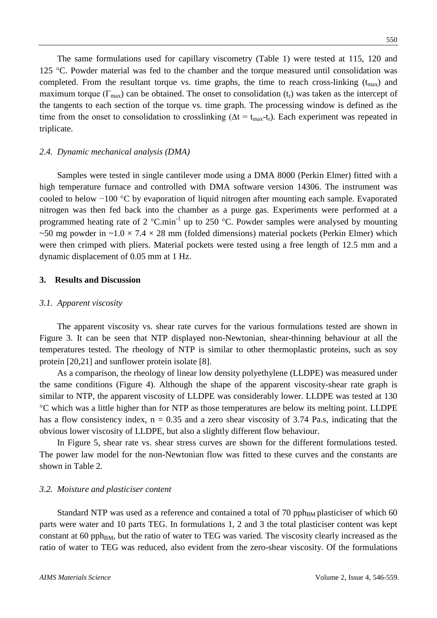completed. From the resultant torque vs. time graphs, the time to reach cross-linking  $(t_{max})$  and maximum torque ( $\Gamma_{\text{max}}$ ) can be obtained. The onset to consolidation ( $t_r$ ) was taken as the intercept of the tangents to each section of the torque vs. time graph. The processing window is defined as the time from the onset to consolidation to crosslinking ( $\Delta t = t_{max}-t_r$ ). Each experiment was repeated in triplicate.

#### *2.4. Dynamic mechanical analysis (DMA)*

Samples were tested in single cantilever mode using a DMA 8000 (Perkin Elmer) fitted with a high temperature furnace and controlled with DMA software version 14306. The instrument was cooled to below −100 °C by evaporation of liquid nitrogen after mounting each sample. Evaporated nitrogen was then fed back into the chamber as a purge gas. Experiments were performed at a programmed heating rate of 2  $^{\circ}$ C.min<sup>-1</sup> up to 250  $^{\circ}$ C. Powder samples were analysed by mounting ~50 mg powder in ~1.0  $\times$  7.4  $\times$  28 mm (folded dimensions) material pockets (Perkin Elmer) which were then crimped with pliers. Material pockets were tested using a free length of 12.5 mm and a dynamic displacement of 0.05 mm at 1 Hz.

#### **3. Results and Discussion**

#### *3.1. Apparent viscosity*

The apparent viscosity vs. shear rate curves for the various formulations tested are shown in Figure 3. It can be seen that NTP displayed non-Newtonian, shear-thinning behaviour at all the temperatures tested. The rheology of NTP is similar to other thermoplastic proteins, such as soy protein [20,21] and sunflower protein isolate [8].

As a comparison, the rheology of linear low density polyethylene (LLDPE) was measured under the same conditions (Figure 4). Although the shape of the apparent viscosity-shear rate graph is similar to NTP, the apparent viscosity of LLDPE was considerably lower. LLDPE was tested at 130 °C which was a little higher than for NTP as those temperatures are below its melting point. LLDPE has a flow consistency index,  $n = 0.35$  and a zero shear viscosity of 3.74 Pa.s, indicating that the obvious lower viscosity of LLDPE, but also a slightly different flow behaviour.

In Figure 5, shear rate vs. shear stress curves are shown for the different formulations tested. The power law model for the non-Newtonian flow was fitted to these curves and the constants are shown in Table 2.

#### *3.2. Moisture and plasticiser content*

Standard NTP was used as a reference and contained a total of 70 pph<sub>BM</sub> plasticiser of which 60 parts were water and 10 parts TEG. In formulations 1, 2 and 3 the total plasticiser content was kept constant at 60 pph $_{BM}$ , but the ratio of water to TEG was varied. The viscosity clearly increased as the ratio of water to TEG was reduced, also evident from the zero-shear viscosity. Of the formulations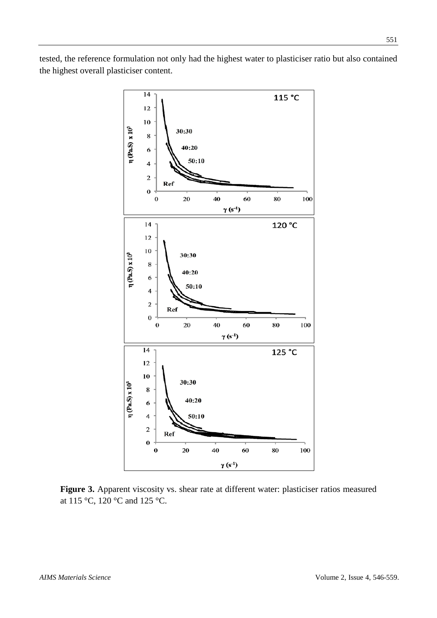tested, the reference formulation not only had the highest water to plasticiser ratio but also contained the highest overall plasticiser content.



**Figure 3.** Apparent viscosity vs. shear rate at different water: plasticiser ratios measured at 115 °C, 120 °C and 125 °C.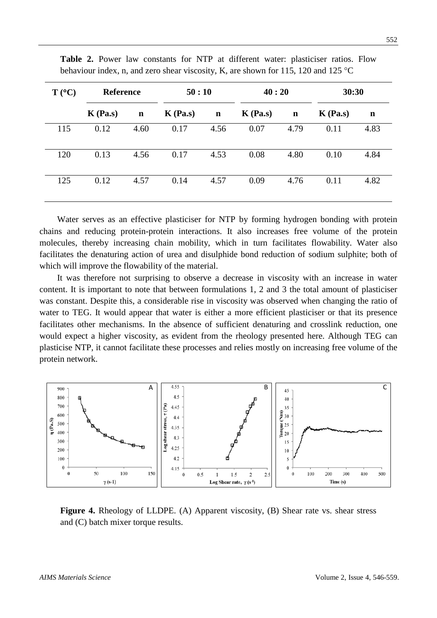| $T (^{\circ}C)$ | <b>Reference</b> |             | 50:10      |             | 40:20      |             | 30:30      |             |
|-----------------|------------------|-------------|------------|-------------|------------|-------------|------------|-------------|
|                 | $K$ (Pa.s)       | $\mathbf n$ | $K$ (Pa.s) | $\mathbf n$ | $K$ (Pa.s) | $\mathbf n$ | $K$ (Pa.s) | $\mathbf n$ |
| 115             | 0.12             | 4.60        | 0.17       | 4.56        | 0.07       | 4.79        | 0.11       | 4.83        |
| 120             | 0.13             | 4.56        | 0.17       | 4.53        | 0.08       | 4.80        | 0.10       | 4.84        |
| 125             | 0.12             | 4.57        | 0.14       | 4.57        | 0.09       | 4.76        | 0.11       | 4.82        |

**Table 2.** Power law constants for NTP at different water: plasticiser ratios. Flow behaviour index, n, and zero shear viscosity, K, are shown for 115, 120 and 125 °C

Water serves as an effective plasticiser for NTP by forming hydrogen bonding with protein chains and reducing protein-protein interactions. It also increases free volume of the protein molecules, thereby increasing chain mobility, which in turn facilitates flowability. Water also facilitates the denaturing action of urea and disulphide bond reduction of sodium sulphite; both of which will improve the flowability of the material.

It was therefore not surprising to observe a decrease in viscosity with an increase in water content. It is important to note that between formulations 1, 2 and 3 the total amount of plasticiser was constant. Despite this, a considerable rise in viscosity was observed when changing the ratio of water to TEG. It would appear that water is either a more efficient plasticiser or that its presence facilitates other mechanisms. In the absence of sufficient denaturing and crosslink reduction, one would expect a higher viscosity, as evident from the rheology presented here. Although TEG can plasticise NTP, it cannot facilitate these processes and relies mostly on increasing free volume of the protein network.



**Figure 4.** Rheology of LLDPE. (A) Apparent viscosity, (B) Shear rate vs. shear stress and (C) batch mixer torque results.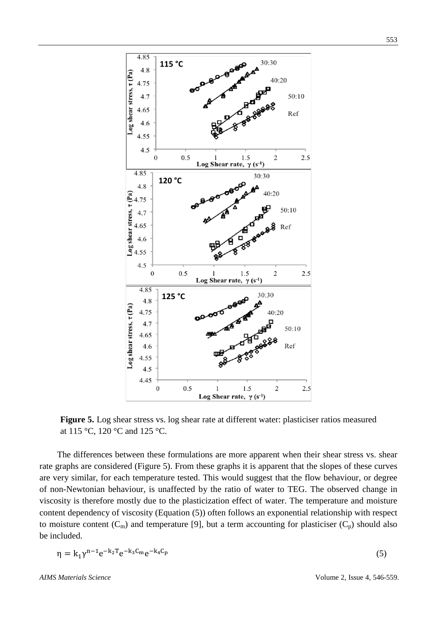

**Figure 5.** Log shear stress vs. log shear rate at different water: plasticiser ratios measured at 115 °C, 120 °C and 125 °C.

The differences between these formulations are more apparent when their shear stress vs. shear rate graphs are considered (Figure 5). From these graphs it is apparent that the slopes of these curves are very similar, for each temperature tested. This would suggest that the flow behaviour, or degree of non-Newtonian behaviour, is unaffected by the ratio of water to TEG. The observed change in viscosity is therefore mostly due to the plasticization effect of water. The temperature and moisture content dependency of viscosity (Equation (5)) often follows an exponential relationship with respect to moisture content  $(C_m)$  and temperature [9], but a term accounting for plasticiser  $(C_p)$  should also be included.

$$
\eta = k_1 \gamma^{n-1} e^{-k_2 T} e^{-k_3 C_m} e^{-k_4 C_p} \tag{5}
$$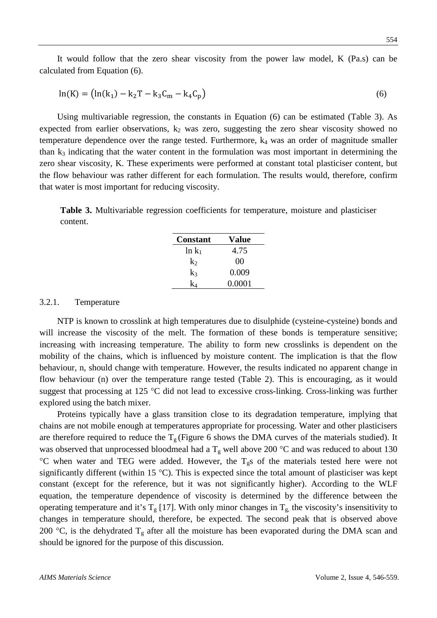It would follow that the zero shear viscosity from the power law model, K (Pa.s) can be calculated from Equation (6).

$$
\ln(K) = (\ln(k_1) - k_2T - k_3C_m - k_4C_p)
$$
\n(6)

Using multivariable regression, the constants in Equation (6) can be estimated (Table 3). As expected from earlier observations,  $k_2$  was zero, suggesting the zero shear viscosity showed no temperature dependence over the range tested. Furthermore,  $k_4$  was an order of magnitude smaller than  $k_3$  indicating that the water content in the formulation was most important in determining the zero shear viscosity, K. These experiments were performed at constant total plasticiser content, but the flow behaviour was rather different for each formulation. The results would, therefore, confirm that water is most important for reducing viscosity.

**Table 3.** Multivariable regression coefficients for temperature, moisture and plasticiser content.

| <b>Constant</b> | Value  |
|-----------------|--------|
| $\ln k_1$       | 4.75   |
| $k_2$           | 00     |
| k3              | 0.009  |
|                 | 0.0001 |

#### 3.2.1. Temperature

NTP is known to crosslink at high temperatures due to disulphide (cysteine-cysteine) bonds and will increase the viscosity of the melt. The formation of these bonds is temperature sensitive; increasing with increasing temperature. The ability to form new crosslinks is dependent on the mobility of the chains, which is influenced by moisture content. The implication is that the flow behaviour, n, should change with temperature. However, the results indicated no apparent change in flow behaviour (n) over the temperature range tested (Table 2). This is encouraging, as it would suggest that processing at 125 °C did not lead to excessive cross-linking. Cross-linking was further explored using the batch mixer.

Proteins typically have a glass transition close to its degradation temperature, implying that chains are not mobile enough at temperatures appropriate for processing. Water and other plasticisers are therefore required to reduce the  $T_g$  (Figure 6 shows the DMA curves of the materials studied). It was observed that unprocessed bloodmeal had a  $T_g$  well above 200 °C and was reduced to about 130 °C when water and TEG were added. However, the  $T_{g}$ s of the materials tested here were not significantly different (within 15 °C). This is expected since the total amount of plasticiser was kept constant (except for the reference, but it was not significantly higher). According to the WLF equation, the temperature dependence of viscosity is determined by the difference between the operating temperature and it's  $T_g$  [17]. With only minor changes in  $T_g$ , the viscosity's insensitivity to changes in temperature should, therefore, be expected. The second peak that is observed above 200 °C, is the dehydrated  $T_g$  after all the moisture has been evaporated during the DMA scan and should be ignored for the purpose of this discussion.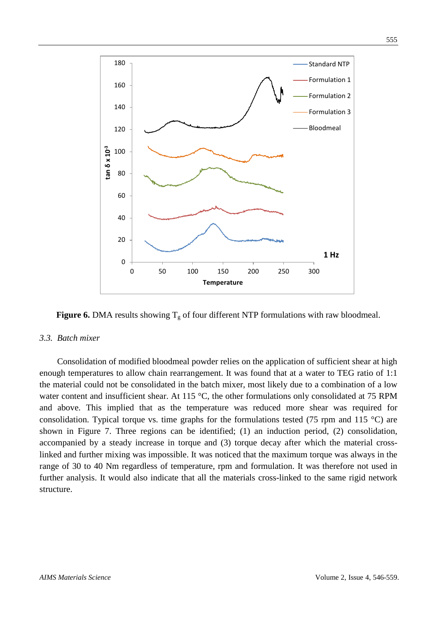

**Figure 6.** DMA results showing  $T_g$  of four different NTP formulations with raw bloodmeal.

#### *3.3. Batch mixer*

Consolidation of modified bloodmeal powder relies on the application of sufficient shear at high enough temperatures to allow chain rearrangement. It was found that at a water to TEG ratio of 1:1 the material could not be consolidated in the batch mixer, most likely due to a combination of a low water content and insufficient shear. At 115 °C, the other formulations only consolidated at 75 RPM and above. This implied that as the temperature was reduced more shear was required for consolidation. Typical torque vs. time graphs for the formulations tested (75 rpm and 115  $^{\circ}$ C) are shown in Figure 7. Three regions can be identified; (1) an induction period, (2) consolidation, accompanied by a steady increase in torque and (3) torque decay after which the material crosslinked and further mixing was impossible. It was noticed that the maximum torque was always in the range of 30 to 40 Nm regardless of temperature, rpm and formulation. It was therefore not used in further analysis. It would also indicate that all the materials cross-linked to the same rigid network structure.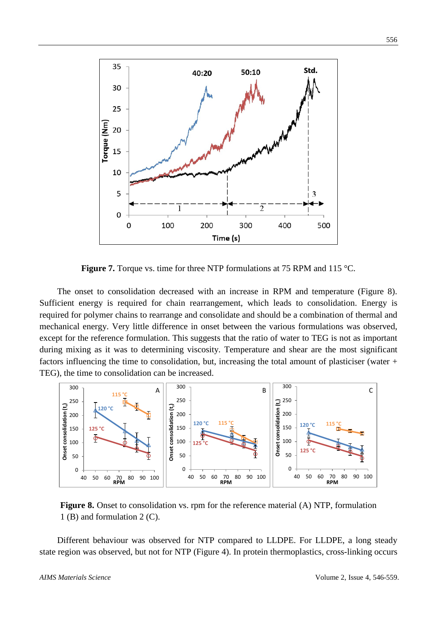

**Figure 7.** Torque vs. time for three NTP formulations at 75 RPM and 115 °C.

The onset to consolidation decreased with an increase in RPM and temperature (Figure 8). Sufficient energy is required for chain rearrangement, which leads to consolidation. Energy is required for polymer chains to rearrange and consolidate and should be a combination of thermal and mechanical energy. Very little difference in onset between the various formulations was observed, except for the reference formulation. This suggests that the ratio of water to TEG is not as important during mixing as it was to determining viscosity. Temperature and shear are the most significant factors influencing the time to consolidation, but, increasing the total amount of plasticiser (water + TEG), the time to consolidation can be increased.



**Figure 8.** Onset to consolidation vs. rpm for the reference material (A) NTP, formulation 1 (B) and formulation 2 (C).

Different behaviour was observed for NTP compared to LLDPE. For LLDPE, a long steady state region was observed, but not for NTP (Figure 4). In protein thermoplastics, cross-linking occurs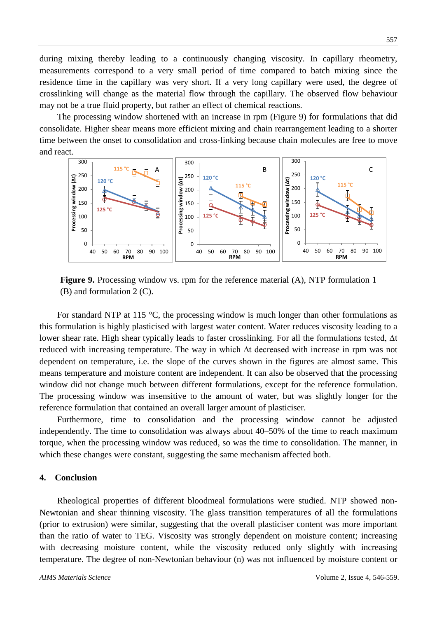during mixing thereby leading to a continuously changing viscosity. In capillary rheometry, measurements correspond to a very small period of time compared to batch mixing since the residence time in the capillary was very short. If a very long capillary were used, the degree of crosslinking will change as the material flow through the capillary. The observed flow behaviour may not be a true fluid property, but rather an effect of chemical reactions.

The processing window shortened with an increase in rpm (Figure 9) for formulations that did consolidate. Higher shear means more efficient mixing and chain rearrangement leading to a shorter time between the onset to consolidation and cross-linking because chain molecules are free to move and react.



**Figure 9.** Processing window vs. rpm for the reference material (A), NTP formulation 1 (B) and formulation 2 (C).

For standard NTP at 115  $\degree$ C, the processing window is much longer than other formulations as this formulation is highly plasticised with largest water content. Water reduces viscosity leading to a lower shear rate. High shear typically leads to faster crosslinking. For all the formulations tested, ∆t reduced with increasing temperature. The way in which ∆t decreased with increase in rpm was not dependent on temperature, i.e. the slope of the curves shown in the figures are almost same. This means temperature and moisture content are independent. It can also be observed that the processing window did not change much between different formulations, except for the reference formulation. The processing window was insensitive to the amount of water, but was slightly longer for the reference formulation that contained an overall larger amount of plasticiser.

Furthermore, time to consolidation and the processing window cannot be adjusted independently. The time to consolidation was always about 40–50% of the time to reach maximum torque, when the processing window was reduced, so was the time to consolidation. The manner, in which these changes were constant, suggesting the same mechanism affected both.

#### **4. Conclusion**

Rheological properties of different bloodmeal formulations were studied. NTP showed non-Newtonian and shear thinning viscosity. The glass transition temperatures of all the formulations (prior to extrusion) were similar, suggesting that the overall plasticiser content was more important than the ratio of water to TEG. Viscosity was strongly dependent on moisture content; increasing with decreasing moisture content, while the viscosity reduced only slightly with increasing temperature. The degree of non-Newtonian behaviour (n) was not influenced by moisture content or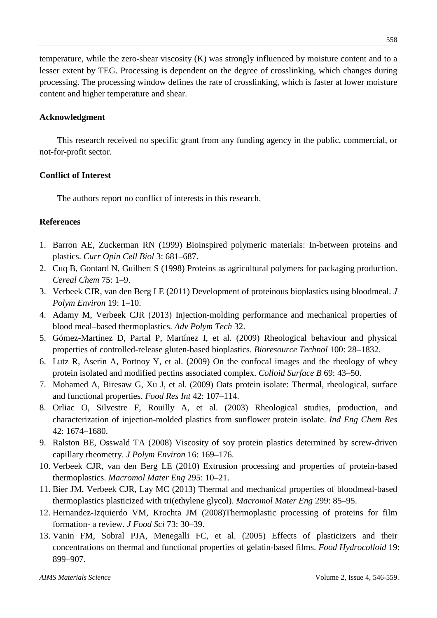temperature, while the zero-shear viscosity (K) was strongly influenced by moisture content and to a lesser extent by TEG. Processing is dependent on the degree of crosslinking, which changes during processing. The processing window defines the rate of crosslinking, which is faster at lower moisture content and higher temperature and shear.

#### **Acknowledgment**

This research received no specific grant from any funding agency in the public, commercial, or not-for-profit sector.

#### **Conflict of Interest**

The authors report no conflict of interests in this research.

#### **References**

- 1. Barron AE, Zuckerman RN (1999) Bioinspired polymeric materials: In-between proteins and plastics. *Curr Opin Cell Biol* 3: 681–687.
- 2. Cuq B, Gontard N, Guilbert S (1998) Proteins as agricultural polymers for packaging production. *Cereal Chem* 75: 1–9.
- 3. Verbeek CJR, van den Berg LE (2011) Development of proteinous bioplastics using bloodmeal. *J Polym Environ* 19: 1–10.
- 4. Adamy M, Verbeek CJR (2013) Injection-molding performance and mechanical properties of blood meal–based thermoplastics. *Adv Polym Tech* 32.
- 5. Gómez-Martínez D, Partal P, Martínez I, et al. (2009) Rheological behaviour and physical properties of controlled-release gluten-based bioplastics. *Bioresource Technol* 100: 28–1832.
- 6. Lutz R, Aserin A, Portnoy Y, et al. (2009) On the confocal images and the rheology of whey protein isolated and modified pectins associated complex. *Colloid Surface B* 69: 43–50.
- 7. Mohamed A, Biresaw G, Xu J, et al. (2009) Oats protein isolate: Thermal, rheological, surface and functional properties. *Food Res Int* 42: 107–114.
- 8. Orliac O, Silvestre F, Rouilly A, et al. (2003) Rheological studies, production, and characterization of injection-molded plastics from sunflower protein isolate. *Ind Eng Chem Res* 42: 1674–1680.
- 9. Ralston BE, Osswald TA (2008) Viscosity of soy protein plastics determined by screw-driven capillary rheometry. *J Polym Environ* 16: 169–176.
- 10. Verbeek CJR, van den Berg LE (2010) Extrusion processing and properties of protein-based thermoplastics. *Macromol Mater Eng* 295: 10–21.
- 11. Bier JM, Verbeek CJR, Lay MC (2013) Thermal and mechanical properties of bloodmeal-based thermoplastics plasticized with tri(ethylene glycol). *Macromol Mater Eng* 299: 85–95.
- 12. Hernandez-Izquierdo VM, Krochta JM (2008)Thermoplastic processing of proteins for film formation- a review. *J Food Sci* 73: 30–39.
- 13. Vanin FM, Sobral PJA, Menegalli FC, et al. (2005) Effects of plasticizers and their concentrations on thermal and functional properties of gelatin-based films. *Food Hydrocolloid* 19: 899–907.